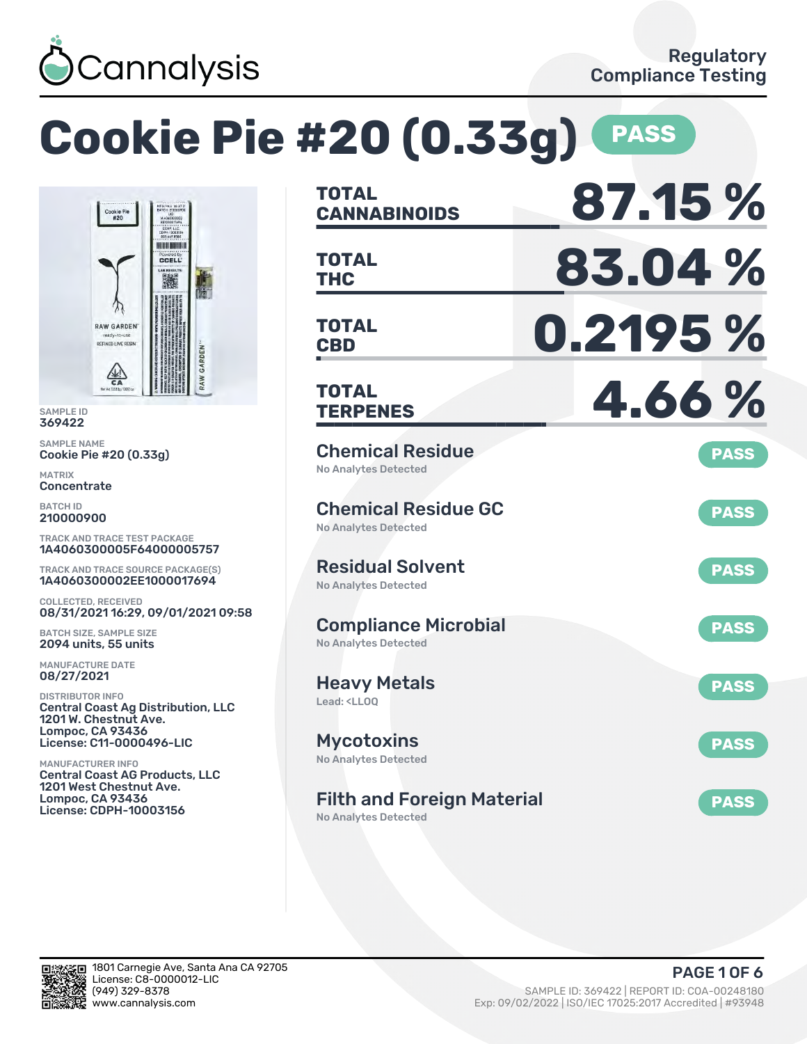

濰

### **Cookie Pie #20 (0.33g) PASS CANNABINOIDS 87.15 % TOTAL NUMBER THC 83.04 % TOTAL CCELL CBD 0.2195 % TOTAL RAW GARDEN TERPENES 4.66 % TOTAL** Chemical Residue **PASS** No Analytes Detected Chemical Residue GC **PASS** No Analytes Detected TRACK AND TRACE TEST PACKAGE 1A4060300005F64000005757 Residual Solvent TRACK AND TRACE SOURCE PACKAGE(S) **PASS** 1A4060300002EE1000017694 No Analytes Detected 08/31/2021 16:29, 09/01/2021 09:58 Compliance Microbial **PASS** No Analytes Detected Heavy Metals **PASS** Lead: <LLOQ Central Coast Ag Distribution, LLC **Mycotoxins** License: C11-0000496-LIC **PASS** No Analytes Detected Central Coast AG Products, LLC 1201 West Chestnut Ave. Filth and Foreign Material **PASS** License: CDPH-10003156 No Analytes Detected

SAMPLE ID 369422 SAMPLE NAME

MATRIX **Concentrate** BATCH ID 210000900

Cookie Pie #20 (0.33g)

Cookie Pie<br>#20

**RAW GARDENT** REFINED LIVE RESIN

 $\frac{\sqrt{2}}{C}$ 

COLLECTED, RECEIVED

BATCH SIZE, SAMPLE SIZE 2094 units, 55 units MANUFACTURE DATE 08/27/2021 DISTRIBUTOR INFO

1201 W. Chestnut Ave. Lompoc, CA 93436

MANUFACTURER INFO

Lompoc, CA 93436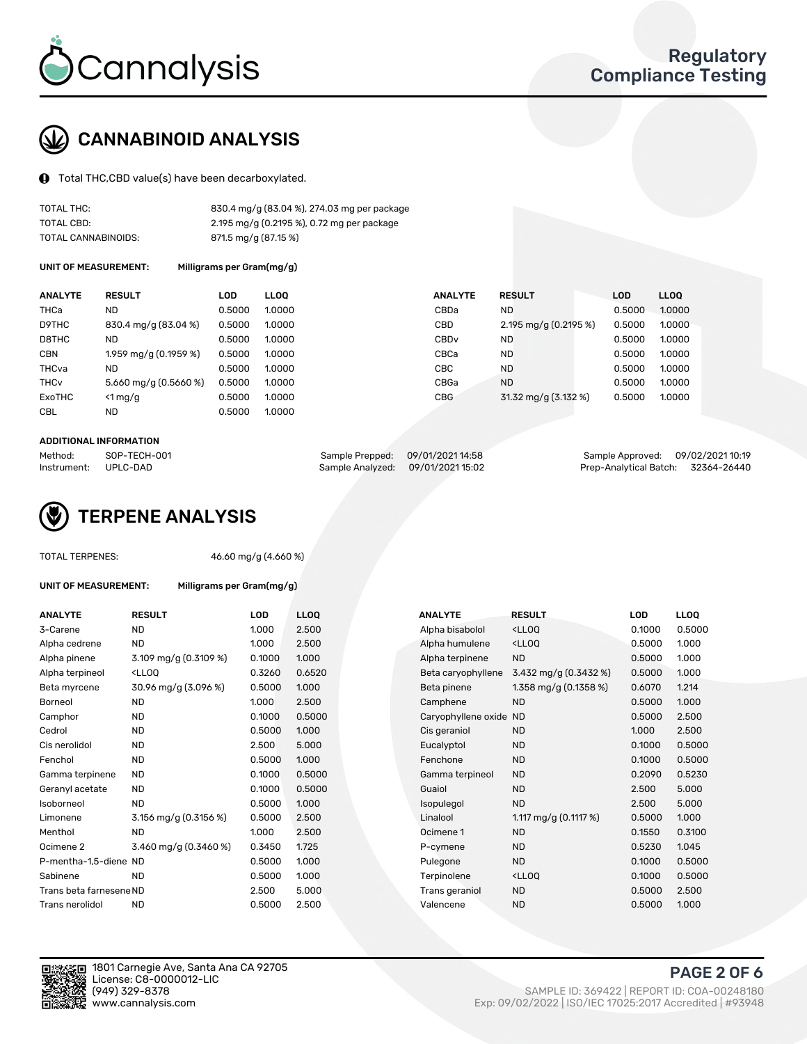

# CANNABINOID ANALYSIS

Total THC,CBD value(s) have been decarboxylated.

| TOTAL THC:          | 830.4 mg/g (83.04 %), 274.03 mg per package |
|---------------------|---------------------------------------------|
| TOTAL CBD:          | 2.195 mg/g (0.2195 %), 0.72 mg per package  |
| TOTAL CANNABINOIDS: | 871.5 mg/g (87.15 %)                        |

UNIT OF MEASUREMENT: Milligrams per Gram(mg/g)

| <b>ANALYTE</b>         | <b>RESULT</b>           | LOD    | <b>LLOO</b> | <b>ANALYTE</b>   | <b>RESULT</b>         | <b>LOD</b> | LL <sub>00</sub> |
|------------------------|-------------------------|--------|-------------|------------------|-----------------------|------------|------------------|
| THCa                   | ND                      | 0.5000 | 1.0000      | CBDa             | <b>ND</b>             | 0.5000     | 1.0000           |
| D9THC                  | 830.4 mg/g (83.04 %)    | 0.5000 | 1.0000      | CBD              | 2.195 mg/g (0.2195 %) | 0.5000     | 1.0000           |
| D8THC                  | <b>ND</b>               | 0.5000 | 1.0000      | CBD <sub>v</sub> | <b>ND</b>             | 0.5000     | 1.0000           |
| <b>CBN</b>             | 1.959 mg/g (0.1959 %)   | 0.5000 | 1.0000      | CBCa             | <b>ND</b>             | 0.5000     | 1.0000           |
| THCva                  | ND                      | 0.5000 | 1.0000      | CBC              | <b>ND</b>             | 0.5000     | 1.0000           |
| <b>THC<sub>v</sub></b> | 5.660 mg/g $(0.5660\%)$ | 0.5000 | 1.0000      | CBGa             | <b>ND</b>             | 0.5000     | 1.0000           |
| ExoTHC                 | $\leq 1$ mg/g           | 0.5000 | 1.0000      | <b>CBG</b>       | 31.32 mg/g (3.132 %)  | 0.5000     | 1.0000           |
| <b>CBL</b>             | <b>ND</b>               | 0.5000 | 1.0000      |                  |                       |            |                  |

### ADDITIONAL INFORMATION

| Method:              | SOP-TECH-001 | Sample Prepped: 09/01/2021 14:58  | Sample Approved: 09/02/2021 10:19  |  |
|----------------------|--------------|-----------------------------------|------------------------------------|--|
| Instrument: UPLC-DAD |              | Sample Analyzed: 09/01/2021 15:02 | Prep-Analytical Batch: 32364-26440 |  |



TOTAL TERPENES: 46.60 mg/g (4.660 %)

| UNIT OF MEASUREMENT: | Milligrams per Gram(mg/g) |
|----------------------|---------------------------|
|                      |                           |

| <b>ANALYTE</b>          | <b>RESULT</b>                                                                                                                                           | LOD    | <b>LLOQ</b> | <b>ANALYTE</b>         | <b>RESULT</b>                                      | LOD    | <b>LLOQ</b> |
|-------------------------|---------------------------------------------------------------------------------------------------------------------------------------------------------|--------|-------------|------------------------|----------------------------------------------------|--------|-------------|
| 3-Carene                | <b>ND</b>                                                                                                                                               | 1.000  | 2.500       | Alpha bisabolol        | <lloq< td=""><td>0.1000</td><td>0.500</td></lloq<> | 0.1000 | 0.500       |
| Alpha cedrene           | ND.                                                                                                                                                     | 1.000  | 2.500       | Alpha humulene         | <ll0q< td=""><td>0.5000</td><td>1.000</td></ll0q<> | 0.5000 | 1.000       |
| Alpha pinene            | 3.109 mg/g (0.3109 %)                                                                                                                                   | 0.1000 | 1.000       | Alpha terpinene        | <b>ND</b>                                          | 0.5000 | 1.000       |
| Alpha terpineol         | <lloq< td=""><td>0.3260</td><td>0.6520</td><td>Beta caryophyllene</td><td>3.432 mg/g <math>(0.3432 \%)</math></td><td>0.5000</td><td>1.000</td></lloq<> | 0.3260 | 0.6520      | Beta caryophyllene     | 3.432 mg/g $(0.3432 \%)$                           | 0.5000 | 1.000       |
| Beta myrcene            | 30.96 mg/g (3.096 %)                                                                                                                                    | 0.5000 | 1.000       | Beta pinene            | 1.358 mg/g $(0.1358\%)$                            | 0.6070 | 1.214       |
| Borneol                 | <b>ND</b>                                                                                                                                               | 1.000  | 2.500       | Camphene               | <b>ND</b>                                          | 0.5000 | 1.000       |
| Camphor                 | <b>ND</b>                                                                                                                                               | 0.1000 | 0.5000      | Caryophyllene oxide ND |                                                    | 0.5000 | 2.500       |
| Cedrol                  | <b>ND</b>                                                                                                                                               | 0.5000 | 1.000       | Cis geraniol           | <b>ND</b>                                          | 1.000  | 2.500       |
| Cis nerolidol           | <b>ND</b>                                                                                                                                               | 2.500  | 5.000       | Eucalyptol             | <b>ND</b>                                          | 0.1000 | 0.500       |
| Fenchol                 | <b>ND</b>                                                                                                                                               | 0.5000 | 1.000       | Fenchone               | <b>ND</b>                                          | 0.1000 | 0.500       |
| Gamma terpinene         | <b>ND</b>                                                                                                                                               | 0.1000 | 0.5000      | Gamma terpineol        | <b>ND</b>                                          | 0.2090 | 0.523       |
| Geranyl acetate         | <b>ND</b>                                                                                                                                               | 0.1000 | 0.5000      | Guaiol                 | <b>ND</b>                                          | 2.500  | 5.000       |
| Isoborneol              | <b>ND</b>                                                                                                                                               | 0.5000 | 1.000       | Isopulegol             | <b>ND</b>                                          | 2.500  | 5.000       |
| Limonene                | 3.156 mg/g $(0.3156\%)$                                                                                                                                 | 0.5000 | 2.500       | Linalool               | 1.117 mg/g $(0.1117%)$                             | 0.5000 | 1.000       |
| Menthol                 | <b>ND</b>                                                                                                                                               | 1.000  | 2.500       | Ocimene 1              | <b>ND</b>                                          | 0.1550 | 0.310       |
| Ocimene 2               | 3.460 mg/g (0.3460 %)                                                                                                                                   | 0.3450 | 1.725       | P-cymene               | <b>ND</b>                                          | 0.5230 | 1.045       |
| P-mentha-1,5-diene ND   |                                                                                                                                                         | 0.5000 | 1.000       | Pulegone               | <b>ND</b>                                          | 0.1000 | 0.500       |
| Sabinene                | <b>ND</b>                                                                                                                                               | 0.5000 | 1.000       | Terpinolene            | <ll0q< td=""><td>0.1000</td><td>0.500</td></ll0q<> | 0.1000 | 0.500       |
| Trans beta farnesene ND |                                                                                                                                                         | 2.500  | 5.000       | Trans geraniol         | <b>ND</b>                                          | 0.5000 | 2.500       |
| Trans nerolidol         | <b>ND</b>                                                                                                                                               | 0.5000 | 2.500       | Valencene              | <b>ND</b>                                          | 0.5000 | 1.000       |
|                         |                                                                                                                                                         |        |             |                        |                                                    |        |             |

| <b>ND</b><br>2.500<br>0.1000<br>1.000<br>Alpha bisabolol<br><lloq<br>ND<br/>2.500<br/><lloq<br>0.5000<br/>1.000<br/>Alpha humulene<br/>3.109 mg/g (0.3109 %)<br/>1.000<br/>0.1000<br/>Alpha terpinene<br/><b>ND</b><br/>0.5000<br/><lloq<br>0.6520<br/>3.432 mg/g (0.3432 %)<br/>0.3260<br/>Beta caryophyllene<br/>0.5000<br/>30.96 mg/g (3.096 %)<br/>1.358 mg/g <math>(0.1358\%)</math><br/>0.5000<br/>1.000<br/>Beta pinene<br/>0.6070<br/><b>ND</b><br/>1.000<br/>2.500<br/><b>ND</b><br/>0.5000<br/>Camphene<br/><b>ND</b><br/>0.5000<br/>0.1000<br/>0.5000<br/>Caryophyllene oxide ND<br/><b>ND</b><br/>0.5000<br/>1.000<br/><b>ND</b><br/>1.000<br/>Cis geraniol<br/>ND<br/>2.500<br/>5.000<br/><b>ND</b><br/>Eucalyptol<br/>0.1000<br/><b>ND</b><br/>0.5000<br/>1.000<br/>Fenchone<br/><b>ND</b><br/>0.1000<br/><b>ND</b><br/>0.5000<br/>0.1000<br/>Gamma terpineol<br/><b>ND</b><br/>0.2090<br/>0.5000<br/>ND.<br/>0.1000<br/>Guaiol<br/><b>ND</b><br/>2.500<br/><b>ND</b><br/>0.5000<br/>1.000<br/><b>ND</b><br/>2.500<br/>Isoborneol<br/>Isopulegol<br/>1.117 mg/g (0.1117 %)<br/>3.156 mg/g <math>(0.3156\%)</math><br/>0.5000<br/>2.500<br/>Linalool<br/>0.5000<br/><b>ND</b><br/>2.500<br/>0.1550<br/>1.000<br/><b>ND</b><br/>Ocimene 1<br/>3.460 mg/g (0.3460 %)<br/>0.3450<br/>1.725<br/><b>ND</b><br/>0.5230<br/>P-cymene<br/>0.5000<br/>1.000<br/><b>ND</b><br/>0.1000<br/>Pulegone<br/><b>ND</b><br/>0.5000<br/>1.000<br/>Terpinolene<br/><lloq<br>0.1000<br/>2.500<br/>5.000<br/>0.5000<br/>Trans geraniol<br/><b>ND</b><br/><b>ND</b><br/><b>ND</b><br/>0.5000<br/>2.500<br/>Valencene<br/>0.5000</lloq<br></lloq<br></lloq<br></lloq<br> | ANALYTE  | <b>RESULT</b> | <b>LOD</b> | <b>LLOQ</b> | <b>ANALYTE</b> | <b>RESULT</b> | <b>LOD</b> | <b>LLOQ</b> |
|----------------------------------------------------------------------------------------------------------------------------------------------------------------------------------------------------------------------------------------------------------------------------------------------------------------------------------------------------------------------------------------------------------------------------------------------------------------------------------------------------------------------------------------------------------------------------------------------------------------------------------------------------------------------------------------------------------------------------------------------------------------------------------------------------------------------------------------------------------------------------------------------------------------------------------------------------------------------------------------------------------------------------------------------------------------------------------------------------------------------------------------------------------------------------------------------------------------------------------------------------------------------------------------------------------------------------------------------------------------------------------------------------------------------------------------------------------------------------------------------------------------------------------------------------------------------------------------------------------------------------------------------------------------|----------|---------------|------------|-------------|----------------|---------------|------------|-------------|
| Alpha cedrene<br>Alpha pinene<br>Alpha terpineol<br>Beta myrcene<br>Borneol<br>Camphor<br>Cedrol<br>Cis nerolidol<br>Fenchol<br>Gamma terpinene<br>Geranyl acetate<br>Limonene<br>Menthol<br>Ocimene 2<br>P-mentha-1,5-diene ND<br>Sabinene<br>Trans beta farnesene ND<br>Trans nerolidol                                                                                                                                                                                                                                                                                                                                                                                                                                                                                                                                                                                                                                                                                                                                                                                                                                                                                                                                                                                                                                                                                                                                                                                                                                                                                                                                                                      | 3-Carene |               |            |             |                |               |            | 0.5000      |
|                                                                                                                                                                                                                                                                                                                                                                                                                                                                                                                                                                                                                                                                                                                                                                                                                                                                                                                                                                                                                                                                                                                                                                                                                                                                                                                                                                                                                                                                                                                                                                                                                                                                |          |               |            |             |                |               |            | 1.000       |
|                                                                                                                                                                                                                                                                                                                                                                                                                                                                                                                                                                                                                                                                                                                                                                                                                                                                                                                                                                                                                                                                                                                                                                                                                                                                                                                                                                                                                                                                                                                                                                                                                                                                |          |               |            |             |                |               |            | 1.000       |
|                                                                                                                                                                                                                                                                                                                                                                                                                                                                                                                                                                                                                                                                                                                                                                                                                                                                                                                                                                                                                                                                                                                                                                                                                                                                                                                                                                                                                                                                                                                                                                                                                                                                |          |               |            |             |                |               |            | 1.000       |
|                                                                                                                                                                                                                                                                                                                                                                                                                                                                                                                                                                                                                                                                                                                                                                                                                                                                                                                                                                                                                                                                                                                                                                                                                                                                                                                                                                                                                                                                                                                                                                                                                                                                |          |               |            |             |                |               |            | 1.214       |
|                                                                                                                                                                                                                                                                                                                                                                                                                                                                                                                                                                                                                                                                                                                                                                                                                                                                                                                                                                                                                                                                                                                                                                                                                                                                                                                                                                                                                                                                                                                                                                                                                                                                |          |               |            |             |                |               |            | 1.000       |
|                                                                                                                                                                                                                                                                                                                                                                                                                                                                                                                                                                                                                                                                                                                                                                                                                                                                                                                                                                                                                                                                                                                                                                                                                                                                                                                                                                                                                                                                                                                                                                                                                                                                |          |               |            |             |                |               |            | 2.500       |
|                                                                                                                                                                                                                                                                                                                                                                                                                                                                                                                                                                                                                                                                                                                                                                                                                                                                                                                                                                                                                                                                                                                                                                                                                                                                                                                                                                                                                                                                                                                                                                                                                                                                |          |               |            |             |                |               |            | 2.500       |
|                                                                                                                                                                                                                                                                                                                                                                                                                                                                                                                                                                                                                                                                                                                                                                                                                                                                                                                                                                                                                                                                                                                                                                                                                                                                                                                                                                                                                                                                                                                                                                                                                                                                |          |               |            |             |                |               |            | 0.5000      |
|                                                                                                                                                                                                                                                                                                                                                                                                                                                                                                                                                                                                                                                                                                                                                                                                                                                                                                                                                                                                                                                                                                                                                                                                                                                                                                                                                                                                                                                                                                                                                                                                                                                                |          |               |            |             |                |               |            | 0.5000      |
|                                                                                                                                                                                                                                                                                                                                                                                                                                                                                                                                                                                                                                                                                                                                                                                                                                                                                                                                                                                                                                                                                                                                                                                                                                                                                                                                                                                                                                                                                                                                                                                                                                                                |          |               |            |             |                |               |            | 0.5230      |
|                                                                                                                                                                                                                                                                                                                                                                                                                                                                                                                                                                                                                                                                                                                                                                                                                                                                                                                                                                                                                                                                                                                                                                                                                                                                                                                                                                                                                                                                                                                                                                                                                                                                |          |               |            |             |                |               |            | 5.000       |
|                                                                                                                                                                                                                                                                                                                                                                                                                                                                                                                                                                                                                                                                                                                                                                                                                                                                                                                                                                                                                                                                                                                                                                                                                                                                                                                                                                                                                                                                                                                                                                                                                                                                |          |               |            |             |                |               |            | 5.000       |
|                                                                                                                                                                                                                                                                                                                                                                                                                                                                                                                                                                                                                                                                                                                                                                                                                                                                                                                                                                                                                                                                                                                                                                                                                                                                                                                                                                                                                                                                                                                                                                                                                                                                |          |               |            |             |                |               |            | 1.000       |
|                                                                                                                                                                                                                                                                                                                                                                                                                                                                                                                                                                                                                                                                                                                                                                                                                                                                                                                                                                                                                                                                                                                                                                                                                                                                                                                                                                                                                                                                                                                                                                                                                                                                |          |               |            |             |                |               |            | 0.3100      |
|                                                                                                                                                                                                                                                                                                                                                                                                                                                                                                                                                                                                                                                                                                                                                                                                                                                                                                                                                                                                                                                                                                                                                                                                                                                                                                                                                                                                                                                                                                                                                                                                                                                                |          |               |            |             |                |               |            | 1.045       |
|                                                                                                                                                                                                                                                                                                                                                                                                                                                                                                                                                                                                                                                                                                                                                                                                                                                                                                                                                                                                                                                                                                                                                                                                                                                                                                                                                                                                                                                                                                                                                                                                                                                                |          |               |            |             |                |               |            | 0.5000      |
|                                                                                                                                                                                                                                                                                                                                                                                                                                                                                                                                                                                                                                                                                                                                                                                                                                                                                                                                                                                                                                                                                                                                                                                                                                                                                                                                                                                                                                                                                                                                                                                                                                                                |          |               |            |             |                |               |            | 0.5000      |
|                                                                                                                                                                                                                                                                                                                                                                                                                                                                                                                                                                                                                                                                                                                                                                                                                                                                                                                                                                                                                                                                                                                                                                                                                                                                                                                                                                                                                                                                                                                                                                                                                                                                |          |               |            |             |                |               |            | 2.500       |
|                                                                                                                                                                                                                                                                                                                                                                                                                                                                                                                                                                                                                                                                                                                                                                                                                                                                                                                                                                                                                                                                                                                                                                                                                                                                                                                                                                                                                                                                                                                                                                                                                                                                |          |               |            |             |                |               |            | 1.000       |



1801 Carnegie Ave, Santa Ana CA 92705 License: C8-0000012-LIC<br>(949) 329-8378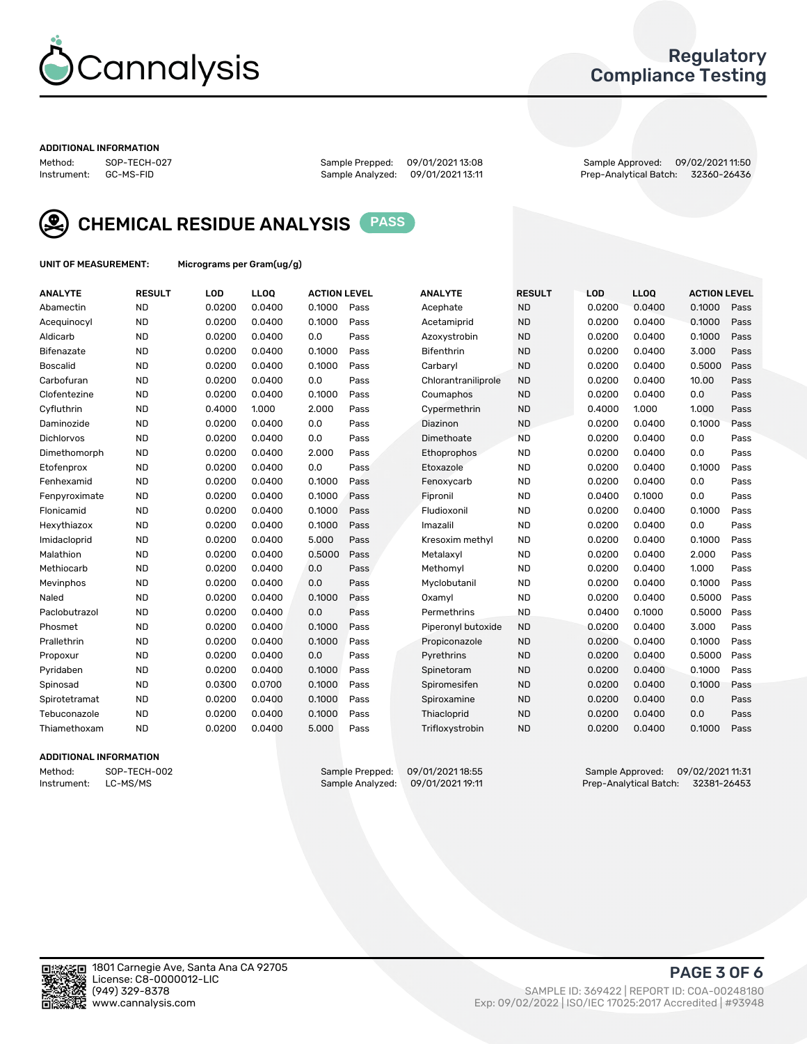

## Regulatory Compliance Testing

#### ADDITIONAL INFORMATION

Method: SOP-TECH-027 Sample Prepped: 09/01/2021 13:08 Sample Approved: 09/02/2021 11:50 Prep-Analytical Batch: 32360-26436



CHEMICAL RESIDUE ANALYSIS PASS

UNIT OF MEASUREMENT: Micrograms per Gram(ug/g)

| <b>ANALYTE</b>    | <b>RESULT</b> | LOD    | LL <sub>OO</sub> | <b>ACTION LEVEL</b> |      | <b>ANALYTE</b>      | <b>RESULT</b> | LOD    | <b>LLOQ</b> | <b>ACTION LEVEL</b> |      |
|-------------------|---------------|--------|------------------|---------------------|------|---------------------|---------------|--------|-------------|---------------------|------|
| Abamectin         | <b>ND</b>     | 0.0200 | 0.0400           | 0.1000              | Pass | Acephate            | <b>ND</b>     | 0.0200 | 0.0400      | 0.1000              | Pass |
| Acequinocyl       | <b>ND</b>     | 0.0200 | 0.0400           | 0.1000              | Pass | Acetamiprid         | <b>ND</b>     | 0.0200 | 0.0400      | 0.1000              | Pass |
| Aldicarb          | <b>ND</b>     | 0.0200 | 0.0400           | 0.0                 | Pass | Azoxystrobin        | <b>ND</b>     | 0.0200 | 0.0400      | 0.1000              | Pass |
| Bifenazate        | <b>ND</b>     | 0.0200 | 0.0400           | 0.1000              | Pass | <b>Bifenthrin</b>   | <b>ND</b>     | 0.0200 | 0.0400      | 3.000               | Pass |
| <b>Boscalid</b>   | <b>ND</b>     | 0.0200 | 0.0400           | 0.1000              | Pass | Carbarvl            | <b>ND</b>     | 0.0200 | 0.0400      | 0.5000              | Pass |
| Carbofuran        | <b>ND</b>     | 0.0200 | 0.0400           | 0.0                 | Pass | Chlorantraniliprole | <b>ND</b>     | 0.0200 | 0.0400      | 10.00               | Pass |
| Clofentezine      | <b>ND</b>     | 0.0200 | 0.0400           | 0.1000              | Pass | Coumaphos           | <b>ND</b>     | 0.0200 | 0.0400      | 0.0                 | Pass |
| Cyfluthrin        | <b>ND</b>     | 0.4000 | 1.000            | 2.000               | Pass | Cypermethrin        | <b>ND</b>     | 0.4000 | 1.000       | 1.000               | Pass |
| Daminozide        | <b>ND</b>     | 0.0200 | 0.0400           | 0.0                 | Pass | Diazinon            | <b>ND</b>     | 0.0200 | 0.0400      | 0.1000              | Pass |
| <b>Dichlorvos</b> | <b>ND</b>     | 0.0200 | 0.0400           | 0.0                 | Pass | Dimethoate          | <b>ND</b>     | 0.0200 | 0.0400      | 0.0                 | Pass |
| Dimethomorph      | <b>ND</b>     | 0.0200 | 0.0400           | 2.000               | Pass | <b>Ethoprophos</b>  | <b>ND</b>     | 0.0200 | 0.0400      | 0.0                 | Pass |
| Etofenprox        | <b>ND</b>     | 0.0200 | 0.0400           | 0.0                 | Pass | Etoxazole           | <b>ND</b>     | 0.0200 | 0.0400      | 0.1000              | Pass |
| Fenhexamid        | <b>ND</b>     | 0.0200 | 0.0400           | 0.1000              | Pass | Fenoxycarb          | <b>ND</b>     | 0.0200 | 0.0400      | 0.0                 | Pass |
| Fenpyroximate     | <b>ND</b>     | 0.0200 | 0.0400           | 0.1000              | Pass | Fipronil            | <b>ND</b>     | 0.0400 | 0.1000      | 0.0                 | Pass |
| Flonicamid        | <b>ND</b>     | 0.0200 | 0.0400           | 0.1000              | Pass | Fludioxonil         | <b>ND</b>     | 0.0200 | 0.0400      | 0.1000              | Pass |
| Hexythiazox       | <b>ND</b>     | 0.0200 | 0.0400           | 0.1000              | Pass | Imazalil            | <b>ND</b>     | 0.0200 | 0.0400      | 0.0                 | Pass |
| Imidacloprid      | <b>ND</b>     | 0.0200 | 0.0400           | 5.000               | Pass | Kresoxim methyl     | <b>ND</b>     | 0.0200 | 0.0400      | 0.1000              | Pass |
| Malathion         | <b>ND</b>     | 0.0200 | 0.0400           | 0.5000              | Pass | Metalaxvl           | <b>ND</b>     | 0.0200 | 0.0400      | 2.000               | Pass |
| Methiocarb        | <b>ND</b>     | 0.0200 | 0.0400           | 0.0                 | Pass | Methomyl            | <b>ND</b>     | 0.0200 | 0.0400      | 1.000               | Pass |
| Mevinphos         | <b>ND</b>     | 0.0200 | 0.0400           | 0.0                 | Pass | Myclobutanil        | <b>ND</b>     | 0.0200 | 0.0400      | 0.1000              | Pass |
| Naled             | <b>ND</b>     | 0.0200 | 0.0400           | 0.1000              | Pass | Oxamyl              | <b>ND</b>     | 0.0200 | 0.0400      | 0.5000              | Pass |
| Paclobutrazol     | <b>ND</b>     | 0.0200 | 0.0400           | 0.0                 | Pass | Permethrins         | <b>ND</b>     | 0.0400 | 0.1000      | 0.5000              | Pass |
| Phosmet           | <b>ND</b>     | 0.0200 | 0.0400           | 0.1000              | Pass | Piperonyl butoxide  | <b>ND</b>     | 0.0200 | 0.0400      | 3.000               | Pass |
| Prallethrin       | <b>ND</b>     | 0.0200 | 0.0400           | 0.1000              | Pass | Propiconazole       | <b>ND</b>     | 0.0200 | 0.0400      | 0.1000              | Pass |
| Propoxur          | <b>ND</b>     | 0.0200 | 0.0400           | 0.0                 | Pass | Pyrethrins          | <b>ND</b>     | 0.0200 | 0.0400      | 0.5000              | Pass |
| Pyridaben         | <b>ND</b>     | 0.0200 | 0.0400           | 0.1000              | Pass | Spinetoram          | <b>ND</b>     | 0.0200 | 0.0400      | 0.1000              | Pass |
| Spinosad          | <b>ND</b>     | 0.0300 | 0.0700           | 0.1000              | Pass | Spiromesifen        | <b>ND</b>     | 0.0200 | 0.0400      | 0.1000              | Pass |
| Spirotetramat     | <b>ND</b>     | 0.0200 | 0.0400           | 0.1000              | Pass | Spiroxamine         | <b>ND</b>     | 0.0200 | 0.0400      | 0.0                 | Pass |
| Tebuconazole      | <b>ND</b>     | 0.0200 | 0.0400           | 0.1000              | Pass | Thiacloprid         | <b>ND</b>     | 0.0200 | 0.0400      | 0.0                 | Pass |
| Thiamethoxam      | <b>ND</b>     | 0.0200 | 0.0400           | 5.000               | Pass | Trifloxystrobin     | <b>ND</b>     | 0.0200 | 0.0400      | 0.1000              | Pass |

### ADDITIONAL INFORMATION

Method: SOP-TECH-002 Sample Prepped: 09/01/2021 18:55 Sample Approved: 09/02/2021 11:31 Prep-Analytical Batch: 32381-26453

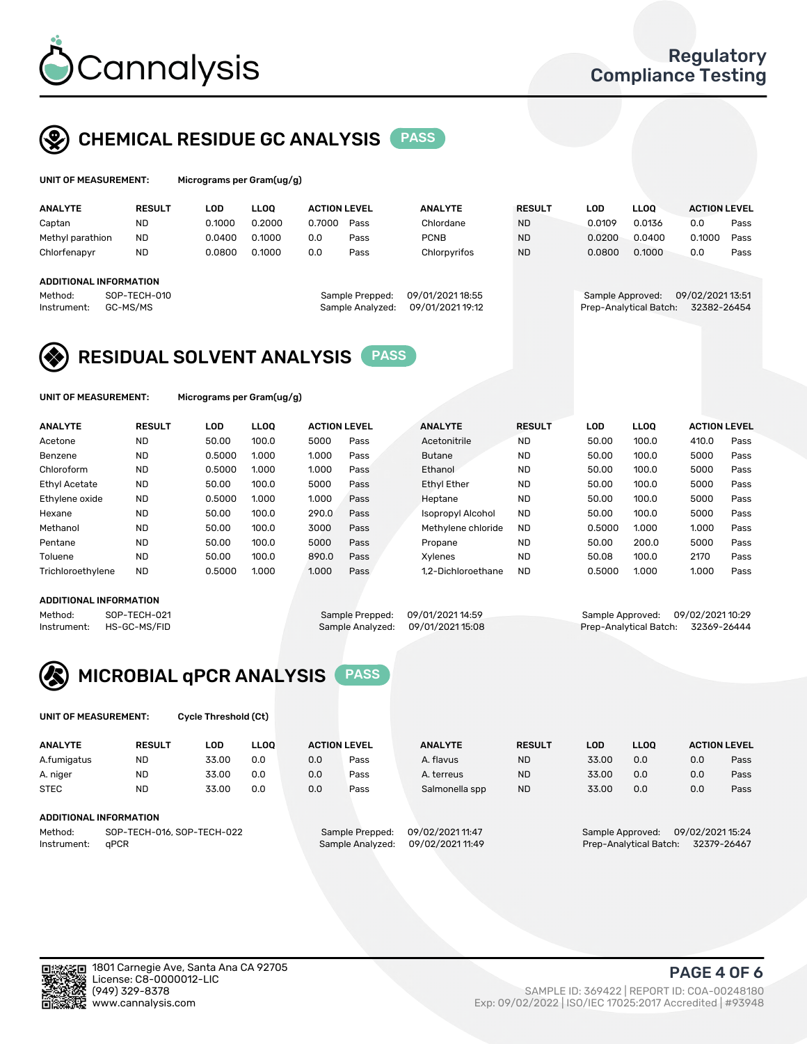

# CHEMICAL RESIDUE GC ANALYSIS PASS

rams per Gram(ug/g)

| <b>ANALYTE</b>         | <b>RESULT</b> | LOD    | <b>LLOO</b> | <b>ACTION LEVEL</b> |                  | <b>ANALYTE</b>   | <b>RESULT</b> | LOD              | LLOO <sup>1</sup>      | <b>ACTION LEVEL</b> |      |
|------------------------|---------------|--------|-------------|---------------------|------------------|------------------|---------------|------------------|------------------------|---------------------|------|
| Captan                 | <b>ND</b>     | 0.1000 | 0.2000      | 0.7000              | Pass             | Chlordane        | <b>ND</b>     | 0.0109           | 0.0136                 | 0.0                 | Pass |
| Methyl parathion       | <b>ND</b>     | 0.0400 | 0.1000      | 0.0                 | Pass             | <b>PCNB</b>      | <b>ND</b>     | 0.0200           | 0.0400                 | 0.1000              | Pass |
| Chlorfenapyr           | <b>ND</b>     | 0.0800 | 0.1000      | 0.0                 | Pass             | Chlorpyrifos     | <b>ND</b>     | 0.0800           | 0.1000                 | 0.0                 | Pass |
|                        |               |        |             |                     |                  |                  |               |                  |                        |                     |      |
| ADDITIONAL INFORMATION |               |        |             |                     |                  |                  |               |                  |                        |                     |      |
| Method:                | SOP-TECH-010  |        |             |                     | Sample Prepped:  | 09/01/2021 18:55 |               | Sample Approved: |                        | 09/02/2021 13:51    |      |
| Instrument:            | GC-MS/MS      |        |             |                     | Sample Analyzed: | 09/01/2021 19:12 |               |                  | Prep-Analytical Batch: | 32382-26454         |      |
|                        |               |        |             |                     |                  |                  |               |                  |                        |                     |      |

# RESIDUAL SOLVENT ANALYSIS PASS

UNIT OF MEASUREMENT: Micrograms per Gram(ug/g)

| <b>ANALYTE</b>       | <b>RESULT</b> | LOD    | <b>LLOO</b> | <b>ACTION LEVEL</b> |      | <b>ANALYTE</b>           | <b>RESULT</b> | LOD    | <b>LLOO</b> | <b>ACTION LEVEL</b> |      |
|----------------------|---------------|--------|-------------|---------------------|------|--------------------------|---------------|--------|-------------|---------------------|------|
| Acetone              | <b>ND</b>     | 50.00  | 100.0       | 5000                | Pass | Acetonitrile             | <b>ND</b>     | 50.00  | 100.0       | 410.0               | Pass |
| Benzene              | <b>ND</b>     | 0.5000 | 1.000       | 1.000               | Pass | <b>Butane</b>            | <b>ND</b>     | 50.00  | 100.0       | 5000                | Pass |
| Chloroform           | <b>ND</b>     | 0.5000 | 1.000       | 1.000               | Pass | Ethanol                  | <b>ND</b>     | 50.00  | 100.0       | 5000                | Pass |
| <b>Ethyl Acetate</b> | <b>ND</b>     | 50.00  | 100.0       | 5000                | Pass | <b>Ethyl Ether</b>       | <b>ND</b>     | 50.00  | 100.0       | 5000                | Pass |
| Ethylene oxide       | <b>ND</b>     | 0.5000 | 1.000       | 1.000               | Pass | Heptane                  | <b>ND</b>     | 50.00  | 100.0       | 5000                | Pass |
| Hexane               | <b>ND</b>     | 50.00  | 100.0       | 290.0               | Pass | <b>Isopropyl Alcohol</b> | <b>ND</b>     | 50.00  | 100.0       | 5000                | Pass |
| Methanol             | <b>ND</b>     | 50.00  | 100.0       | 3000                | Pass | Methylene chloride       | <b>ND</b>     | 0.5000 | 1.000       | 1.000               | Pass |
| Pentane              | <b>ND</b>     | 50.00  | 100.0       | 5000                | Pass | Propane                  | <b>ND</b>     | 50.00  | 200.0       | 5000                | Pass |
| Toluene              | <b>ND</b>     | 50.00  | 100.0       | 890.0               | Pass | Xvlenes                  | <b>ND</b>     | 50.08  | 100.0       | 2170                | Pass |
| Trichloroethylene    | <b>ND</b>     | 0.5000 | 1.000       | 1.000               | Pass | 1.2-Dichloroethane       | <b>ND</b>     | 0.5000 | 1.000       | 1.000               | Pass |

### ADDITIONAL INFORMATION

Method: SOP-TECH-021 Sample Prepped: 09/01/2021 14:59 Sample Approved: 09/02/2021 10:29<br>Sample Analyzed: 09/01/2021 15:08 Prep-Analytical Batch: 32369-26444 Prep-Analytical Batch: 32369-26444



UNIT OF MEASUREMENT: Cycle Threshold (Ct)

| <b>ANALYTE</b>                        | <b>RESULT</b>          | LOD   | <b>LLOO</b> | <b>ACTION LEVEL</b> |                  | <b>ANALYTE</b>   | <b>RESULT</b> | LOD              | LL <sub>00</sub>       |     | <b>ACTION LEVEL</b> |
|---------------------------------------|------------------------|-------|-------------|---------------------|------------------|------------------|---------------|------------------|------------------------|-----|---------------------|
| A.fumigatus                           | ND                     | 33.00 | 0.0         | 0.0                 | Pass             | A. flavus        | <b>ND</b>     | 33.00            | 0.0                    | 0.0 | Pass                |
| A. niger                              | <b>ND</b>              | 33.00 | 0.0         | 0.0                 | Pass             | A. terreus       | <b>ND</b>     | 33.00            | 0.0                    | 0.0 | Pass                |
| <b>STEC</b>                           | <b>ND</b>              | 33.00 | 0.0         | 0.0                 | Pass             | Salmonella spp   | <b>ND</b>     | 33.00            | 0.0                    | 0.0 | Pass                |
|                                       | ADDITIONAL INFORMATION |       |             |                     |                  |                  |               |                  |                        |     |                     |
| SOP-TECH-016, SOP-TECH-022<br>Method: |                        |       |             | Sample Prepped:     | 09/02/2021 11:47 |                  |               | Sample Approved: | 09/02/2021 15:24       |     |                     |
| Instrument:                           | aPCR                   |       |             |                     | Sample Analyzed: | 09/02/2021 11:49 |               |                  | Prep-Analytical Batch: |     | 32379-26467         |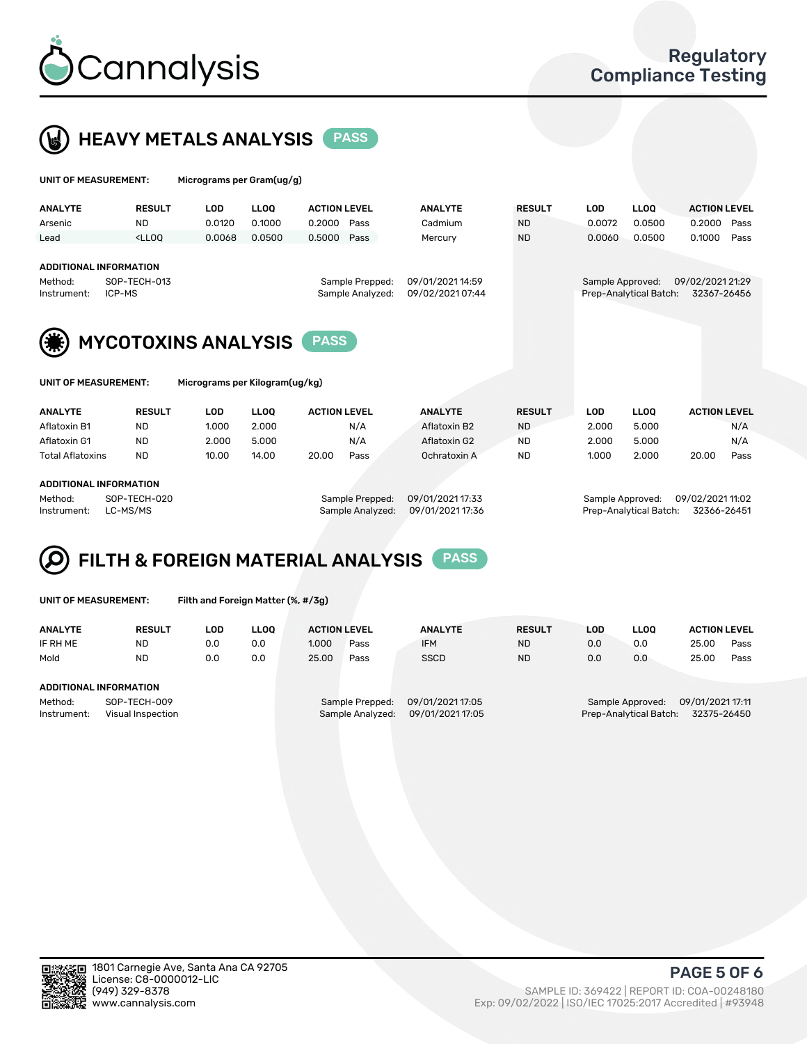



| UNIT OF MEASUREMENT:                                              |                                                                                                                                                                             | Micrograms per Gram(ug/g)      |             |                     |                                     |                                      |               |                  |                        |                                 |      |
|-------------------------------------------------------------------|-----------------------------------------------------------------------------------------------------------------------------------------------------------------------------|--------------------------------|-------------|---------------------|-------------------------------------|--------------------------------------|---------------|------------------|------------------------|---------------------------------|------|
| <b>ANALYTE</b>                                                    | <b>RESULT</b>                                                                                                                                                               | <b>LOD</b>                     | <b>LLOO</b> | <b>ACTION LEVEL</b> |                                     | <b>ANALYTE</b>                       | <b>RESULT</b> | <b>LOD</b>       | <b>LLOQ</b>            | <b>ACTION LEVEL</b>             |      |
| Arsenic                                                           | <b>ND</b>                                                                                                                                                                   | 0.0120                         | 0.1000      | 0.2000              | Pass                                | Cadmium                              | <b>ND</b>     | 0.0072           | 0.0500                 | 0.2000                          | Pass |
| Lead                                                              | <lloo< td=""><td>0.0068</td><td>0.0500</td><td>0.5000</td><td>Pass</td><td>Mercury</td><td><b>ND</b></td><td>0.0060</td><td>0.0500</td><td>0.1000</td><td>Pass</td></lloo<> | 0.0068                         | 0.0500      | 0.5000              | Pass                                | Mercury                              | <b>ND</b>     | 0.0060           | 0.0500                 | 0.1000                          | Pass |
| <b>ADDITIONAL INFORMATION</b><br>Method:<br>ICP-MS<br>Instrument: | SOP-TECH-013                                                                                                                                                                |                                |             |                     | Sample Prepped:<br>Sample Analyzed: | 09/01/2021 14:59<br>09/02/2021 07:44 |               | Sample Approved: | Prep-Analytical Batch: | 09/02/2021 21:29<br>32367-26456 |      |
| UNIT OF MEASUREMENT:                                              | <b>MYCOTOXINS ANALYSIS</b>                                                                                                                                                  | Micrograms per Kilogram(ug/kg) |             | <b>PASS</b>         |                                     |                                      |               |                  |                        |                                 |      |
|                                                                   |                                                                                                                                                                             |                                |             |                     |                                     |                                      |               |                  |                        |                                 |      |
| <b>ANALYTE</b>                                                    | <b>RESULT</b>                                                                                                                                                               | <b>LOD</b>                     | <b>LLOO</b> | <b>ACTION LEVEL</b> |                                     | <b>ANALYTE</b>                       | <b>RESULT</b> | <b>LOD</b>       | <b>LLOO</b>            | <b>ACTION LEVEL</b>             |      |
| Aflatoxin B1                                                      | <b>ND</b>                                                                                                                                                                   | 1.000                          | 2.000       |                     | N/A                                 | Aflatoxin B2                         | <b>ND</b>     | 2.000            | 5.000                  |                                 | N/A  |
| Aflatoxin G1                                                      | <b>ND</b>                                                                                                                                                                   | 2.000                          | 5.000       |                     | N/A                                 | Aflatoxin G2                         | <b>ND</b>     | 2.000            | 5.000                  |                                 | N/A  |
| <b>Total Aflatoxins</b>                                           | <b>ND</b>                                                                                                                                                                   | 10.00                          | 14.00       | 20.00               | Pass                                | Ochratoxin A                         | <b>ND</b>     | 1.000            | 2.000                  | 20.00                           | Pass |

### ADDITIONAL INFORMATION

Method: SOP-TECH-020 Sample Prepped: 09/01/2021 17:33 Sample Approved: 09/02/2021 11:02 Instrument: LC-MS/MS Sample Analyzed: 09/01/2021 17:36 Prep-Analytical Batch: 32366-26451

### FILTH & FOREIGN MATERIAL ANALYSIS PASS Q

UNIT OF MEASUREMENT: Filth and Foreign Matter (%, #/3g)

| <b>ANALYTE</b>                                              | <b>RESULT</b> | LOD | <b>LLOO</b> | <b>ACTION LEVEL</b>                                                         |      | <b>ANALYTE</b> | <b>RESULT</b> | LOD                                                                           | <b>LLOO</b> | <b>ACTION LEVEL</b> |      |
|-------------------------------------------------------------|---------------|-----|-------------|-----------------------------------------------------------------------------|------|----------------|---------------|-------------------------------------------------------------------------------|-------------|---------------------|------|
| IF RH ME                                                    | <b>ND</b>     | 0.0 | 0.0         | 1.000                                                                       | Pass | <b>IFM</b>     | <b>ND</b>     | 0.0                                                                           | 0.0         | 25.00               | Pass |
| Mold                                                        | <b>ND</b>     | 0.0 | 0.0         | 25.00                                                                       | Pass | <b>SSCD</b>    | <b>ND</b>     | 0.0                                                                           | 0.0         | 25.00               | Pass |
| ADDITIONAL INFORMATION                                      |               |     |             |                                                                             |      |                |               |                                                                               |             |                     |      |
| Method:<br>SOP-TECH-009<br>Instrument:<br>Visual Inspection |               |     |             | 09/01/2021 17:05<br>Sample Prepped:<br>09/01/2021 17:05<br>Sample Analyzed: |      |                |               | 09/01/2021 17:11<br>Sample Approved:<br>Prep-Analytical Batch:<br>32375-26450 |             |                     |      |



PAGE 5 OF 6